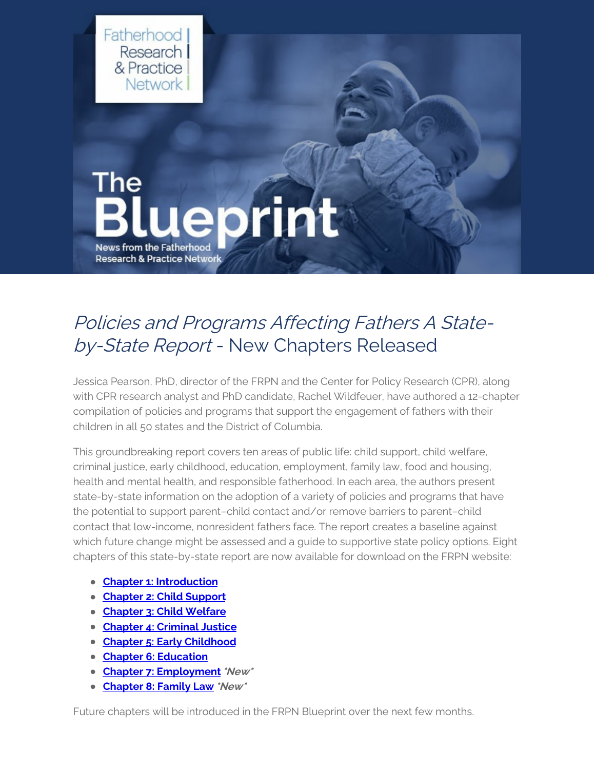

## Policies and Programs Affecting Fathers A Stateby-State Report - New Chapters Released

Jessica Pearson, PhD, director of the FRPN and the Center for Policy Research (CPR), along with CPR research analyst and PhD candidate, Rachel Wildfeuer, have authored a 12-chapter compilation of policies and programs that support the engagement of fathers with their children in all 50 states and the District of Columbia.

This groundbreaking report covers ten areas of public life: child support, child welfare, criminal justice, early childhood, education, employment, family law, food and housing, health and mental health, and responsible fatherhood. In each area, the authors present state-by-state information on the adoption of a variety of policies and programs that have the potential to support parent–child contact and/or remove barriers to parent–child contact that low-income, nonresident fathers face. The report creates a baseline against which future change might be assessed and a guide to supportive state policy options. Eight chapters of this state-by-state report are now available for download on the FRPN website:

- **Chapter 1: [Introduction](https://www.frpn.org/asset/policies-and-programs-affecting-fathers-state-state-report-introduction)**
- **[Chapter](https://www.frpn.org/asset/policies-and-programs-affecting-fathers-state-state-report-chapter-2-child-support) 2: Child Support**
- **[Chapter](https://www.frpn.org/asset/policies-and-programs-affecting-fathers-state-state-report-chapter-3-child-welfare) 3: Child Welfare**
- **Chapter 4: [Criminal](https://www.frpn.org/asset/policies-and-programs-affecting-fathers-state-state-report-chapter-4-criminal-justice) Justice**
- **Chapter 5: Early [Childhood](https://www.frpn.org/asset/policies-and-programs-affecting-fathers-state-state-report-chapter-5-early-childhood)**
- **Chapter 6: [Education](https://www.frpn.org/asset/policies-and-programs-affecting-fathers-state-state-report-chapter-6-education)**
- **Chapter 7: [Employment](https://www.frpn.org/asset/policies-and-programs-affecting-fathers-state-state-report-chapter-7-employment)\*New\***
- **[Chapter](https://www.frpn.org/asset/policies-and-programs-affecting-fathers-state-state-report-chapter-8-family-law) 8: Family Law \*New\***

Future chapters will be introduced in the FRPN Blueprint over the next few months.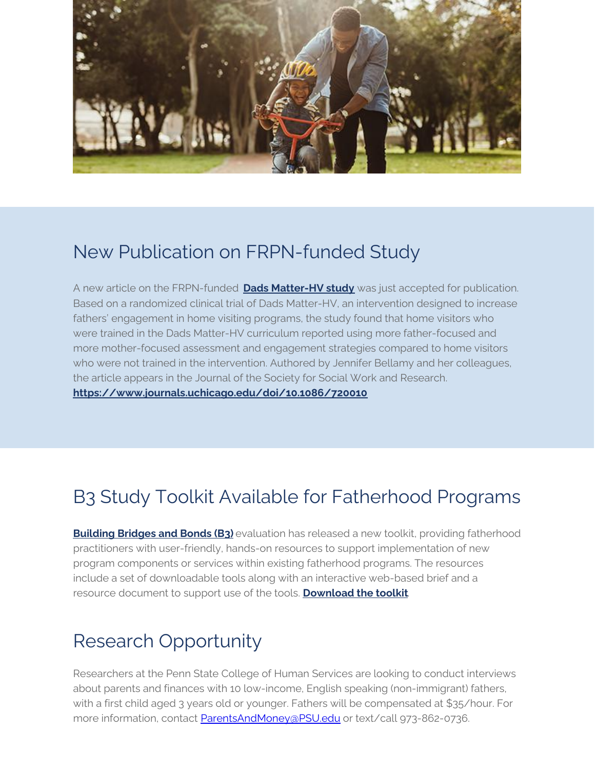

#### New Publication on FRPN-funded Study

A new article on the FRPN-funded **Dads [Matter-HV](https://www.frpn.org/asset/frpn-grantee-report-the-engagement-fathers-in-home-visiting-services-learning-the-dads-matter) study** was just accepted for publication. Based on a randomized clinical trial of Dads Matter-HV, an intervention designed to increase fathers' engagement in home visiting programs, the study found that home visitors who were trained in the Dads Matter-HV curriculum reported using more father-focused and more mother-focused assessment and engagement strategies compared to home visitors who were not trained in the intervention. Authored by Jennifer Bellamy and her colleagues, the article appears in the Journal of the Society for Social Work and Research. **<https://www.journals.uchicago.edu/doi/10.1086/720010>**

# B3 Study Toolkit Available for Fatherhood Programs

**[Building](https://www.acf.hhs.gov/opre/project/building-bridges-and-bonds-b3-evaluation-2014-2021) Bridges and Bonds (B3)** evaluation has released a new toolkit, providing fatherhood practitioners with user-friendly, hands-on resources to support implementation of new program components or services within existing fatherhood programs. The resources include a set of downloadable tools along with an interactive web-based brief and a resource document to support use of the tools. **[Download](https://www.acf.hhs.gov/opre/toolkit/ready-set-go1) the toolkit**.

### Research Opportunity

Researchers at the Penn State College of Human Services are looking to conduct interviews about parents and finances with 10 low-income, English speaking (non-immigrant) fathers, with a first child aged 3 years old or younger. Fathers will be compensated at \$35/hour. For more information, contact [ParentsAndMoney@PSU.edu](mailto:ParentsAndMoney@PSU.edu) or text/call 973-862-0736.